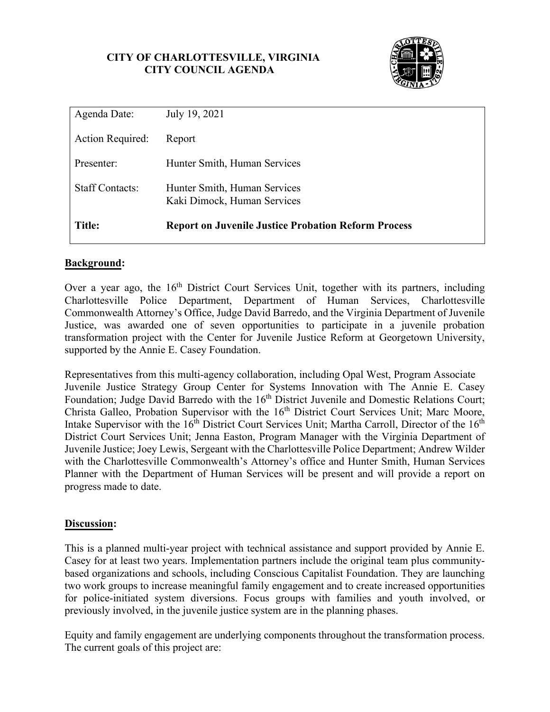## **CITY OF CHARLOTTESVILLE, VIRGINIA CITY COUNCIL AGENDA**



| Agenda Date:           | July 19, 2021                                               |
|------------------------|-------------------------------------------------------------|
| Action Required:       | Report                                                      |
| Presenter:             | Hunter Smith, Human Services                                |
| <b>Staff Contacts:</b> | Hunter Smith, Human Services<br>Kaki Dimock, Human Services |
| <b>Title:</b>          | <b>Report on Juvenile Justice Probation Reform Process</b>  |

## **Background:**

 Justice, was awarded one of seven opportunities to participate in a juvenile probation Over a year ago, the  $16<sup>th</sup>$  District Court Services Unit, together with its partners, including Charlottesville Police Department, Department of Human Services, Charlottesville Commonwealth Attorney's Office, Judge David Barredo, and the Virginia Department of Juvenile transformation project with the Center for Juvenile Justice Reform at Georgetown University, supported by the Annie E. Casey Foundation.

Representatives from this multi-agency collaboration, including Opal West, Program Associate Juvenile Justice Strategy Group Center for Systems Innovation with The Annie E. Casey Foundation; Judge David Barredo with the 16<sup>th</sup> District Juvenile and Domestic Relations Court; Christa Galleo, Probation Supervisor with the 16<sup>th</sup> District Court Services Unit; Marc Moore, Intake Supervisor with the 16<sup>th</sup> District Court Services Unit; Martha Carroll, Director of the 16<sup>th</sup> District Court Services Unit; Jenna Easton, Program Manager with the Virginia Department of Juvenile Justice; Joey Lewis, Sergeant with the Charlottesville Police Department; Andrew Wilder with the Charlottesville Commonwealth's Attorney's office and Hunter Smith, Human Services Planner with the Department of Human Services will be present and will provide a report on progress made to date.

#### **Discussion:**

 Casey for at least two years. Implementation partners include the original team plus community-This is a planned multi-year project with technical assistance and support provided by Annie E. based organizations and schools, including Conscious Capitalist Foundation. They are launching two work groups to increase meaningful family engagement and to create increased opportunities for police-initiated system diversions. Focus groups with families and youth involved, or previously involved, in the juvenile justice system are in the planning phases.

 Equity and family engagement are underlying components throughout the transformation process. The current goals of this project are: